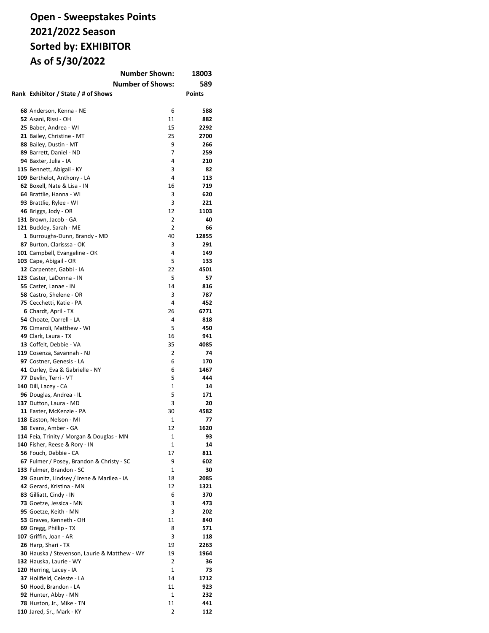## **Open - Sweepstakes Points 2021/2022 Season Sorted by: EXHIBITOR As of 5/30/2022**

|                                              | <b>Number Shown:</b> | 18003         |
|----------------------------------------------|----------------------|---------------|
| <b>Number of Shows:</b>                      |                      | 589           |
| Rank Exhibitor / State / # of Shows          |                      | <b>Points</b> |
|                                              |                      |               |
|                                              |                      |               |
| 68 Anderson, Kenna - NE                      | 6                    | 588           |
| 52 Asani, Rissi - OH                         | 11                   | 882           |
| 25 Baber, Andrea - WI                        | 15                   | 2292          |
| 21 Bailey, Christine - MT                    | 25                   | 2700          |
| 88 Bailey, Dustin - MT                       | 9                    | 266           |
| 89 Barrett, Daniel - ND                      | $\overline{7}$       | 259           |
| 94 Baxter, Julia - IA                        | 4                    | 210           |
| 115 Bennett, Abigail - KY                    | 3                    | 82            |
| 109 Berthelot, Anthony - LA                  | 4                    | 113           |
| 62 Boxell, Nate & Lisa - IN                  | 16                   | 719           |
| 64 Brattlie, Hanna - WI                      | 3                    | 620           |
| 93 Brattlie, Rylee - WI                      | 3                    | 221           |
| 46 Briggs, Jody - OR                         | 12                   | 1103          |
| 131 Brown, Jacob - GA                        | 2                    | 40            |
| 121 Buckley, Sarah - ME                      | 2                    | 66            |
| 1 Burroughs-Dunn, Brandy - MD                | 40                   | 12855         |
| 87 Burton, Clarisssa - OK                    | 3                    | 291           |
| 101 Campbell, Evangeline - OK                | 4                    | 149           |
| 103 Cape, Abigail - OR                       | 5                    | 133           |
| 12 Carpenter, Gabbi - IA                     | 22                   | 4501          |
| 123 Caster, LaDonna - IN                     | 5                    | 57            |
| 55 Caster, Lanae - IN                        | 14                   | 816           |
| 58 Castro, Shelene - OR                      | 3                    | 787           |
| 75 Cecchetti, Katie - PA                     | 4                    | 452           |
|                                              | 26                   | 6771          |
| 6 Chardt, April - TX                         | 4                    |               |
| 54 Choate, Darrell - LA                      |                      | 818           |
| 76 Cimaroli, Matthew - WI                    | 5                    | 450           |
| 49 Clark, Laura - TX                         | 16                   | 941           |
| 13 Coffelt, Debbie - VA                      | 35                   | 4085          |
| 119 Cosenza, Savannah - NJ                   | 2                    | 74            |
| 97 Costner, Genesis - LA                     | 6                    | 170           |
| 41 Curley, Eva & Gabrielle - NY              | 6                    | 1467          |
| 77 Devlin, Terri - VT                        | 5                    | 444           |
| 140 Dill, Lacey - CA                         | 1                    | 14            |
| 96 Douglas, Andrea - IL                      | 5                    | 171           |
| 137 Dutton, Laura - MD                       | 3                    | 20            |
| 11 Easter, McKenzie - PA                     | 30                   | 4582          |
| 118 Easton, Nelson - MI                      | $\mathbf{1}$         | 77            |
| 38 Evans, Amber - GA                         | 12                   | 1620          |
| 114 Feia, Trinity / Morgan & Douglas - MN    | 1                    | 93            |
| 140 Fisher, Reese & Rory - IN                | 1                    | 14            |
| 56 Fouch, Debbie - CA                        | 17                   | 811           |
| 67 Fulmer / Posey, Brandon & Christy - SC    | 9                    | 602           |
| 133 Fulmer, Brandon - SC                     | 1                    | 30            |
| 29 Gaunitz, Lindsey / Irene & Marilea - IA   | 18                   | 2085          |
| 42 Gerard, Kristina - MN                     | 12                   | 1321          |
| 83 Gilliatt, Cindy - IN                      | 6                    | 370           |
|                                              | 3                    | 473           |
| 73 Goetze, Jessica - MN                      |                      |               |
| 95 Goetze, Keith - MN                        | 3                    | 202           |
| 53 Graves, Kenneth - OH                      | 11                   | 840           |
| 69 Gregg, Phillip - TX                       | 8                    | 571           |
| 107 Griffin, Joan - AR                       | 3                    | 118           |
| 26 Harp, Shari - TX                          | 19                   | 2263          |
| 30 Hauska / Stevenson, Laurie & Matthew - WY | 19                   | 1964          |
| 132 Hauska, Laurie - WY                      | 2                    | 36            |
| 120 Herring, Lacey - IA                      | 1                    | 73            |
| 37 Holifield, Celeste - LA                   | 14                   | 1712          |
| 50 Hood, Brandon - LA                        | 11                   | 923           |
| 92 Hunter, Abby - MN                         | 1                    | 232           |
| 78 Huston, Jr., Mike - TN                    | 11                   | 441           |
| 110 Jared, Sr., Mark - KY                    | 2                    | 112           |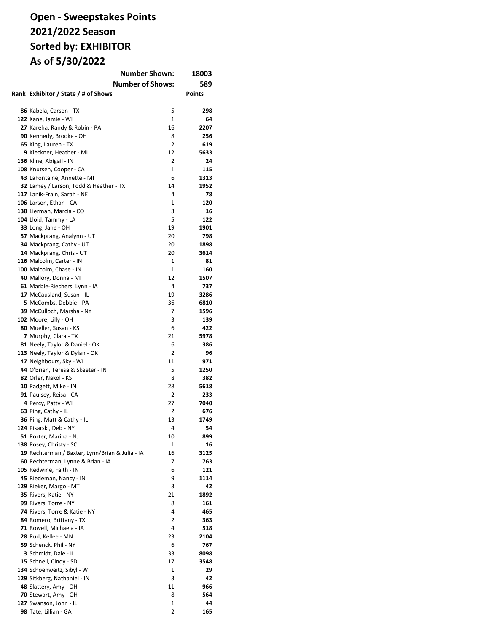# **Open - Sweepstakes Points 2021/2022 Season Sorted by: EXHIBITOR As of 5/30/2022**

| <b>Number Shown:</b><br>18003                   |              |               |
|-------------------------------------------------|--------------|---------------|
| <b>Number of Shows:</b>                         |              | 589           |
| Rank Exhibitor / State / # of Shows             |              | <b>Points</b> |
|                                                 |              |               |
| 86 Kabela, Carson - TX                          | 5            | 298           |
| 122 Kane, Jamie - WI                            | $\mathbf{1}$ | 64            |
| 27 Kareha, Randy & Robin - PA                   | 16           | 2207          |
| 90 Kennedy, Brooke - OH                         | 8            | 256           |
| 65 King, Lauren - TX                            | 2            | 619           |
| 9 Kleckner, Heather - MI                        | 12           | 5633          |
|                                                 | 2            | 24            |
| 136 Kline, Abigail - IN                         | 1            | 115           |
| 108 Knutsen, Cooper - CA                        |              |               |
| 43 LaFontaine, Annette - MI                     | 6            | 1313          |
| 32 Lamey / Larson, Todd & Heather - TX          | 14           | 1952          |
| 117 Lanik-Frain, Sarah - NE                     | 4            | 78            |
| 106 Larson, Ethan - CA                          | 1            | 120           |
| 138 Lierman, Marcia - CO                        | 3            | 16            |
| 104 Lloid, Tammy - LA                           | 5            | 122           |
| 33 Long, Jane - OH                              | 19           | 1901          |
| 57 Mackprang, Analynn - UT                      | 20           | 798           |
| 34 Mackprang, Cathy - UT                        | 20           | 1898          |
| 14 Mackprang, Chris - UT                        | 20           | 3614          |
| 116 Malcolm, Carter - IN                        | 1            | 81            |
| 100 Malcolm, Chase - IN                         | $\mathbf{1}$ | 160           |
| 40 Mallory, Donna - MI                          | 12           | 1507          |
| 61 Marble-Riechers, Lynn - IA                   | 4            | 737           |
| 17 McCausland, Susan - IL                       | 19           | 3286          |
| 5 McCombs, Debbie - PA                          | 36           | 6810          |
| 39 McCulloch, Marsha - NY                       | 7            | 1596          |
| 102 Moore, Lilly - OH                           | 3            | 139           |
| 80 Mueller, Susan - KS                          | 6            | 422           |
| 7 Murphy, Clara - TX                            | 21           | 5978          |
| 81 Neely, Taylor & Daniel - OK                  | 6            | 386           |
| 113 Neely, Taylor & Dylan - OK                  | 2            | 96            |
| 47 Neighbours, Sky - WI                         | 11           | 971           |
| 44 O'Brien, Teresa & Skeeter - IN               | 5            | 1250          |
| 82 Orler, Nakol - KS                            | 8            | 382           |
| 10 Padgett, Mike - IN                           | 28           | 5618          |
| 91 Paulsey, Reisa - CA                          | 2            | 233           |
| 4 Percy, Patty - WI                             | 27           | 7040          |
| 63 Ping, Cathy - IL                             | 2            | 676           |
| 36 Ping, Matt & Cathy - IL                      | 13           | 1749          |
| 124 Pisarski, Deb - NY                          | 4            | 54            |
| 51 Porter, Marina - NJ                          | 10           | 899           |
| 138 Posey, Christy - SC                         | 1            | 16            |
|                                                 |              | 3125          |
| 19 Rechterman / Baxter, Lynn/Brian & Julia - IA | 16<br>7      | 763           |
| 60 Rechterman, Lynne & Brian - IA               |              |               |
| 105 Redwine, Faith - IN                         | 6            | 121           |
| 45 Riedeman, Nancy - IN                         | 9            | 1114          |
| 129 Rieker, Margo - MT                          | 3            | 42            |
| 35 Rivers, Katie - NY                           | 21           | 1892          |
| 99 Rivers, Torre - NY                           | 8            | 161           |
| 74 Rivers, Torre & Katie - NY                   | 4            | 465           |
| 84 Romero, Brittany - TX                        | 2            | 363           |
| 71 Rowell, Michaela - IA                        | 4            | 518           |
| 28 Rud, Kellee - MN                             | 23           | 2104          |
| 59 Schenck, Phil - NY                           | 6            | 767           |
| 3 Schmidt, Dale - IL                            | 33           | 8098          |
| 15 Schnell, Cindy - SD                          | 17           | 3548          |
| 134 Schoenweitz, Sibyl - WI                     | 1            | 29            |
| 129 Sitkberg, Nathaniel - IN                    | 3            | 42            |
| 48 Slattery, Amy - OH                           | 11           | 966           |
| 70 Stewart, Amy - OH                            | 8            | 564           |
| 127 Swanson, John - IL                          | 1            | 44            |
| 98 Tate, Lillian - GA                           | 2            | 165           |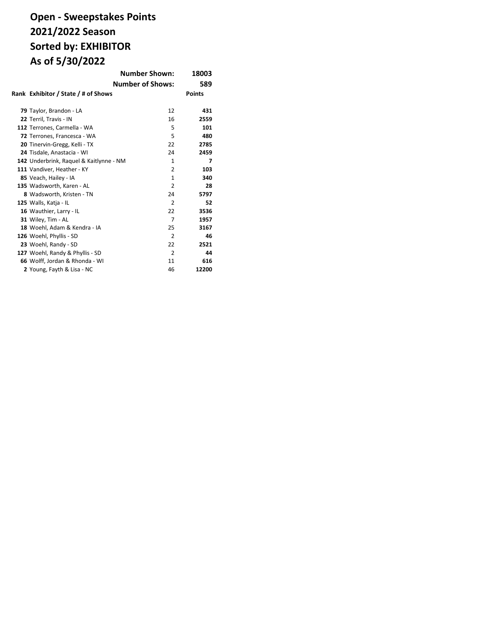# **Open - Sweepstakes Points 2021/2022 Season Sorted by: EXHIBITOR As of 5/30/2022**

|                                         | <b>Number Shown:</b>    | 18003         |
|-----------------------------------------|-------------------------|---------------|
|                                         | <b>Number of Shows:</b> | 589           |
| Rank Exhibitor / State / # of Shows     |                         | <b>Points</b> |
| 79 Taylor, Brandon - LA                 | 12                      | 431           |
| 22 Terril, Travis - IN                  | 16                      | 2559          |
| 112 Terrones, Carmella - WA             | 5                       | 101           |
| 72 Terrones, Francesca - WA             | 5                       | 480           |
| 20 Tinervin-Gregg, Kelli - TX           | 22                      | 2785          |
| 24 Tisdale, Anastacia - WI              | 24                      | 2459          |
| 142 Underbrink, Raquel & Kaitlynne - NM | 1                       | 7             |
| 111 Vandiver, Heather - KY              | 2                       | 103           |
| 85 Veach, Hailey - IA                   | $\mathbf{1}$            | 340           |
| 135 Wadsworth, Karen - AL               | $\overline{2}$          | 28            |
| 8 Wadsworth, Kristen - TN               | 24                      | 5797          |
| 125 Walls, Katja - IL                   | $\overline{2}$          | 52            |
| 16 Wauthier, Larry - IL                 | 22                      | 3536          |
| 31 Wiley, Tim - AL                      | $\overline{7}$          | 1957          |
| 18 Woehl, Adam & Kendra - IA            | 25                      | 3167          |
| 126 Woehl, Phyllis - SD                 | $\overline{2}$          | 46            |
| 23 Woehl, Randy - SD                    | 22                      | 2521          |
| 127 Woehl, Randy & Phyllis - SD         | 2                       | 44            |
| 66 Wolff, Jordan & Rhonda - WI          | 11                      | 616           |
| 2 Young, Fayth & Lisa - NC              | 46                      | 12200         |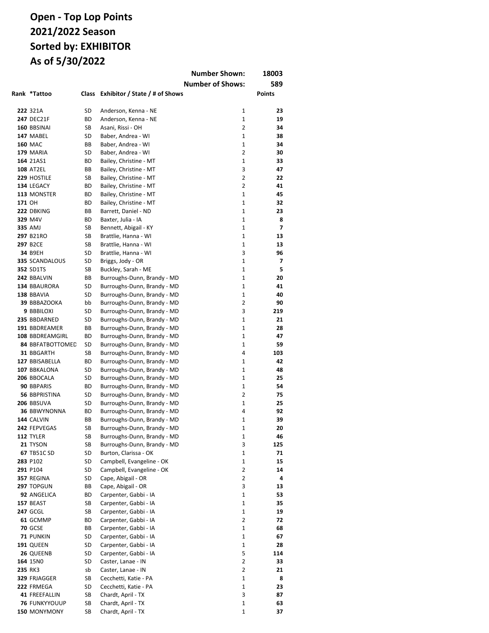|        |                             |          |                                                            | <b>Number Shown:</b>    | 18003                    |
|--------|-----------------------------|----------|------------------------------------------------------------|-------------------------|--------------------------|
|        |                             |          |                                                            | <b>Number of Shows:</b> | 589                      |
|        | Rank *Tattoo                | Class    | Exhibitor / State / # of Shows                             |                         | <b>Points</b>            |
|        |                             |          |                                                            |                         |                          |
|        | 222 321A                    | SD       | Anderson, Kenna - NE                                       | 1                       | 23                       |
|        | <b>247 DEC21F</b>           | ВD       | Anderson, Kenna - NE                                       | 1                       | 19                       |
|        | 160 BBSINAI                 | SB       | Asani, Rissi - OH                                          | 2                       | 34                       |
|        | 147 MABEL                   | SD       | Baber, Andrea - WI                                         | 1                       | 38                       |
|        | <b>160 MAC</b>              | ВB       | Baber, Andrea - WI                                         | $\mathbf{1}$            | 34                       |
|        | 179 MARIA                   | SD       | Baber, Andrea - WI                                         | $\overline{2}$          | 30                       |
|        | 164 21AS1                   | ВD       | Bailey, Christine - MT                                     | $\mathbf{1}$            | 33                       |
|        | <b>108 AT2EL</b>            | ВB       | Bailey, Christine - MT                                     | 3                       | 47                       |
|        | 229 HOSTILE                 | SB       | Bailey, Christine - MT                                     | $\overline{2}$          | 22                       |
|        | 134 LEGACY                  | ВD       | Bailey, Christine - MT                                     | $\overline{2}$          | 41                       |
|        | 113 MONSTER                 | ВD       | Bailey, Christine - MT                                     | $\mathbf{1}$            | 45                       |
| 171 OH |                             | ВD       | Bailey, Christine - MT                                     | $\mathbf{1}$            | 32                       |
|        | 222 DBKING                  | ВB       | Barrett, Daniel - ND                                       | $\mathbf{1}$            | 23                       |
|        | 329 M4V                     | ВD       | Baxter, Julia - IA                                         | 1                       | 8                        |
|        | 335 AMJ                     | SB       | Bennett, Abigail - KY                                      | $\mathbf{1}$            | $\overline{\phantom{a}}$ |
|        | 297 B21RO                   | SB       | Brattlie, Hanna - WI                                       | $\mathbf{1}$            | 13                       |
|        | 297 B2CE                    | SB       | Brattlie, Hanna - WI                                       | $\mathbf{1}$            | 13                       |
|        | 34 B9EH<br>335 SCANDALOUS   | SD       | Brattlie, Hanna - WI                                       | 3                       | 96                       |
|        |                             | SD       | Briggs, Jody - OR                                          | $\mathbf{1}$<br>1       | 7<br>5                   |
|        | <b>352 SD1TS</b>            | SB       | Buckley, Sarah - ME                                        |                         |                          |
|        | 242 BBALVIN<br>134 BBAURORA | BВ<br>SD | Burroughs-Dunn, Brandy - MD                                | 1<br>1                  | 20<br>41                 |
|        | 138 BBAVIA                  | SD       | Burroughs-Dunn, Brandy - MD                                | 1                       | 40                       |
|        |                             | bb       | Burroughs-Dunn, Brandy - MD                                | $\overline{2}$          | 90                       |
|        | 39 BBBAZOOKA<br>9 BBBILOXI  | SD       | Burroughs-Dunn, Brandy - MD                                | 3                       | 219                      |
|        | 235 BBDARNED                | SD       | Burroughs-Dunn, Brandy - MD<br>Burroughs-Dunn, Brandy - MD | $\mathbf{1}$            | 21                       |
|        | 191 BBDREAMER               | BВ       | Burroughs-Dunn, Brandy - MD                                | $\mathbf{1}$            | 28                       |
|        | 108 BBDREAMGIRL             | ВD       | Burroughs-Dunn, Brandy - MD                                | $\mathbf{1}$            | 47                       |
|        | 84 BBFATBOTTOMED            | SD       | Burroughs-Dunn, Brandy - MD                                | 1                       | 59                       |
|        | 31 BBGARTH                  | SB       | Burroughs-Dunn, Brandy - MD                                | 4                       | 103                      |
|        | 127 BBISABELLA              | ВD       | Burroughs-Dunn, Brandy - MD                                | 1                       | 42                       |
|        | 107 BBKALONA                | SD       | Burroughs-Dunn, Brandy - MD                                | $\mathbf{1}$            | 48                       |
|        | 206 BBOCALA                 | SD       | Burroughs-Dunn, Brandy - MD                                | 1                       | 25                       |
|        | 90 BBPARIS                  | ВD       | Burroughs-Dunn, Brandy - MD                                | $\mathbf{1}$            | 54                       |
|        | 56 BBPRISTINA               | SD       | Burroughs-Dunn, Brandy - MD                                | $\overline{2}$          | 75                       |
|        | 206 BBSUVA                  | SD       | Burroughs-Dunn, Brandy - MD                                | $\mathbf{1}$            | 25                       |
|        | 36 BBWYNONNA                | ВD       | Burroughs-Dunn, Brandy - MD                                | 4                       | 92                       |
|        | 144 CALVIN                  | ВB       | Burroughs-Dunn, Brandy - MD                                | $\mathbf{1}$            | 39                       |
|        | 242 FEPVEGAS                | SB       | Burroughs-Dunn, Brandy - MD                                | 1                       | 20                       |
|        | <b>112 TYLER</b>            | SB       | Burroughs-Dunn, Brandy - MD                                | 1                       | 46                       |
|        | 21 TYSON                    | SB       | Burroughs-Dunn, Brandy - MD                                | 3                       | 125                      |
|        | <b>67 TB51C SD</b>          | SD       | Burton, Clarissa - OK                                      | 1                       | 71                       |
|        | 283 P102                    | SD       | Campbell, Evangeline - OK                                  | 1                       | 15                       |
|        | 291 P104                    | SD       | Campbell, Evangeline - OK                                  | 2                       | 14                       |
|        | 357 REGINA                  | SD       | Cape, Abigail - OR                                         | 2                       | 4                        |
|        | 297 TOPGUN                  | ВB       | Cape, Abigail - OR                                         | 3                       | 13                       |
|        | 92 ANGELICA                 | ВD       | Carpenter, Gabbi - IA                                      | 1                       | 53                       |
|        | 157 BEAST                   | SB       | Carpenter, Gabbi - IA                                      | 1                       | 35                       |
|        | <b>247 GCGL</b>             | SB       | Carpenter, Gabbi - IA                                      | 1                       | 19                       |
|        | 61 GCMMP                    | ВD       | Carpenter, Gabbi - IA                                      | 2                       | 72                       |
|        | <b>70 GCSE</b>              | ВB       | Carpenter, Gabbi - IA                                      | 1                       | 68                       |
|        | 71 PUNKIN                   | SD       | Carpenter, Gabbi - IA                                      | 1                       | 67                       |
|        | 191 QUEEN                   | SD       | Carpenter, Gabbi - IA                                      | 1                       | 28                       |
|        | 26 QUEENB                   | SD       | Carpenter, Gabbi - IA                                      | 5                       | 114                      |
|        | 164 15NO                    | SD       | Caster, Lanae - IN                                         | $\overline{2}$          | 33                       |
|        | 235 RK3                     | sb       | Caster, Lanae - IN                                         | 2                       | 21                       |
|        | 329 FRJAGGER                | SB       | Cecchetti, Katie - PA                                      | 1                       | 8                        |
|        | 222 FRMEGA                  | SD       | Cecchetti, Katie - PA                                      | 1                       | 23                       |
|        | 41 FREEFALLIN               | SB       | Chardt, April - TX                                         | 3                       | 87                       |
|        | <b>76 FUNKYYOUUP</b>        | SB       | Chardt, April - TX                                         | 1                       | 63                       |
|        | 150 MONYMONY                | SB       | Chardt, April - TX                                         | 1                       | 37                       |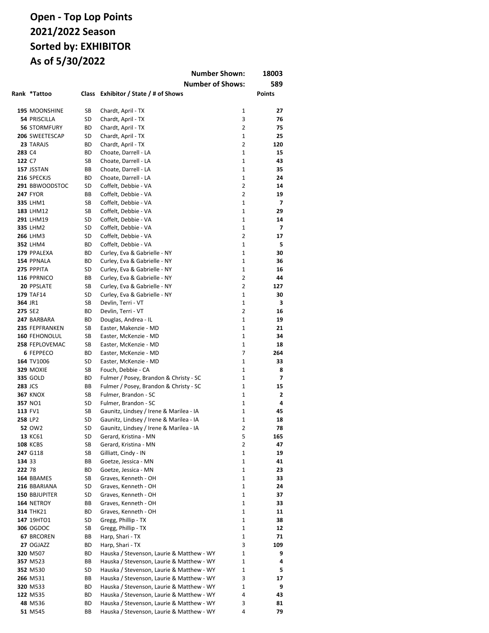|                |                                |          | <b>Number Shown:</b>                                                               |                              | 18003          |
|----------------|--------------------------------|----------|------------------------------------------------------------------------------------|------------------------------|----------------|
|                |                                |          | <b>Number of Shows:</b>                                                            |                              | 589            |
|                | Rank *Tattoo                   | Class    | Exhibitor / State / # of Shows                                                     |                              | Points         |
|                |                                |          |                                                                                    |                              |                |
|                | 195 MOONSHINE                  | SB       | Chardt, April - TX                                                                 | 1                            | 27             |
|                | <b>54 PRISCILLA</b>            | SD       | Chardt, April - TX                                                                 | 3                            | 76             |
|                | <b>56 STORMFURY</b>            | ВD       | Chardt, April - TX                                                                 | $\overline{2}$               | 75             |
|                | 206 SWEETESCAP                 | SD       | Chardt, April - TX                                                                 | $\mathbf{1}$                 | 25             |
|                | 23 TARAJS                      | ВD       | Chardt, April - TX                                                                 | $\overline{2}$               | 120            |
| 283 C4         |                                | ВD       | Choate, Darrell - LA                                                               | $\mathbf{1}$                 | 15             |
| 122 C7         |                                | SB       | Choate, Darrell - LA                                                               | $\mathbf{1}$<br>$\mathbf{1}$ | 43             |
|                | 157 JSSTAN<br>216 SPECKJS      | BВ<br>ВD | Choate, Darrell - LA<br>Choate, Darrell - LA                                       | $\mathbf{1}$                 | 35<br>24       |
|                | 291 BBWOODSTOC                 | SD       | Coffelt, Debbie - VA                                                               | $\overline{2}$               | 14             |
|                | <b>247 FYOR</b>                | BВ       | Coffelt, Debbie - VA                                                               | $\overline{2}$               | 19             |
|                | 335 LHM1                       | SB       | Coffelt, Debbie - VA                                                               | $\mathbf{1}$                 | $\overline{7}$ |
|                | 183 LHM12                      | SB       | Coffelt, Debbie - VA                                                               | $\mathbf{1}$                 | 29             |
|                | 291 LHM19                      | SD       | Coffelt, Debbie - VA                                                               | $\mathbf{1}$                 | 14             |
|                | 335 LHM2                       | SD       | Coffelt, Debbie - VA                                                               | $\mathbf{1}$                 | 7              |
|                | <b>266 LHM3</b>                | SD       | Coffelt, Debbie - VA                                                               | $\overline{2}$               | 17             |
|                | 352 LHM4                       | ВD       | Coffelt, Debbie - VA                                                               | $\mathbf{1}$                 | 5              |
|                | 179 PPALEXA                    | ВD       | Curley, Eva & Gabrielle - NY                                                       | $\mathbf{1}$                 | 30             |
|                | 154 PPNALA                     | ВD       | Curley, Eva & Gabrielle - NY                                                       | 1                            | 36             |
|                | 275 PPPITA                     | SD       | Curley, Eva & Gabrielle - NY                                                       | 1                            | 16             |
|                | 116 PPRNICO                    | ВB       | Curley, Eva & Gabrielle - NY                                                       | $\overline{2}$               | 44             |
|                | 20 PPSLATE                     | SB       | Curley, Eva & Gabrielle - NY                                                       | $\overline{2}$               | 127            |
| 364 JR1        | <b>179 TAF14</b>               | SD<br>SB | Curley, Eva & Gabrielle - NY<br>Devlin, Terri - VT                                 | 1<br>1                       | 30<br>3        |
| 275 SE2        |                                | ВD       | Devlin, Terri - VT                                                                 | $\overline{2}$               | 16             |
|                | 247 BARBARA                    | ВD       | Douglas, Andrea - IL                                                               | 1                            | 19             |
|                | 235 FEPFRANKEN                 | SB       | Easter, Makenzie - MD                                                              | $\mathbf{1}$                 | 21             |
|                | <b>160 FEHONOLUL</b>           | SB       | Easter, McKenzie - MD                                                              | 1                            | 34             |
|                | 258 FEPLOVEMAC                 | SB       | Easter, McKenzie - MD                                                              | $\mathbf{1}$                 | 18             |
|                | 6 FEPPECO                      | ВD       | Easter, McKenzie - MD                                                              | $\overline{7}$               | 264            |
|                | 164 TV1006                     | SD       | Easter, McKenzie - MD                                                              | $\mathbf{1}$                 | 33             |
|                | 329 MOXIE                      | SB       | Fouch, Debbie - CA                                                                 | 1                            | 8              |
|                | 335 GOLD                       | ВD       | Fulmer / Posey, Brandon & Christy - SC                                             | 1                            | $\overline{7}$ |
| <b>283 JCS</b> |                                | BВ       | Fulmer / Posey, Brandon & Christy - SC                                             | 1                            | 15             |
|                | <b>367 KNOX</b>                | SB       | Fulmer, Brandon - SC                                                               | $\mathbf{1}$                 | $\overline{2}$ |
|                | 357 NO1                        | SD       | Fulmer, Brandon - SC                                                               | $\mathbf{1}$                 | 4              |
| 258 LP2        | 113 FV1                        | SB<br>SD | Gaunitz, Lindsey / Irene & Marilea - IA<br>Gaunitz, Lindsey / Irene & Marilea - IA | 1<br>1                       | 45<br>18       |
|                | 52 OW2                         | SD       | Gaunitz, Lindsey / Irene & Marilea - IA                                            | 2                            | 78             |
|                | 13 KC61                        | SD       | Gerard, Kristina - MN                                                              | 5                            | 165            |
|                | <b>108 KCBS</b>                | SB       | Gerard, Kristina - MN                                                              | 2                            | 47             |
|                | 247 G118                       | SB       | Gilliatt, Cindy - IN                                                               | 1                            | 19             |
| 134 33         |                                | ВB       | Goetze, Jessica - MN                                                               | 1                            | 41             |
| 222 78         |                                | ВD       | Goetze, Jessica - MN                                                               | 1                            | 23             |
|                | 164 BBAMES                     | SB       | Graves, Kenneth - OH                                                               | 1                            | 33             |
|                | 216 BBARIANA                   | SD       | Graves, Kenneth - OH                                                               | 1                            | 24             |
|                | <b>150 BBJUPITER</b>           | SD       | Graves, Kenneth - OH                                                               | 1                            | 37             |
|                | 164 NETROY                     | ВB       | Graves, Kenneth - OH                                                               | 1                            | 33             |
|                | <b>314 THK21</b>               | ВD       | Graves, Kenneth - OH                                                               | 1                            | 11             |
|                | 147 19HTO1<br><b>306 OGDOC</b> | SD       | Gregg, Phillip - TX<br>Gregg, Phillip - TX                                         | 1<br>1                       | 38<br>12       |
|                | 67 BRCOREN                     | SB<br>ВB | Harp, Shari - TX                                                                   | 1                            | 71             |
|                | 27 OGJAZZ                      | ВD       | Harp, Shari - TX                                                                   | 3                            | 109            |
|                | 320 M507                       | ВD       | Hauska / Stevenson, Laurie & Matthew - WY                                          | 1                            | 9              |
|                | 357 M523                       | ВB       | Hauska / Stevenson, Laurie & Matthew - WY                                          | 1                            | 4              |
|                | 352 M530                       | SD       | Hauska / Stevenson, Laurie & Matthew - WY                                          | 1                            | 5              |
|                | 266 M531                       | ВB       | Hauska / Stevenson, Laurie & Matthew - WY                                          | 3                            | 17             |
|                | 320 M533                       | ВD       | Hauska / Stevenson, Laurie & Matthew - WY                                          | 1                            | 9              |
|                | 122 M535                       | ВD       | Hauska / Stevenson, Laurie & Matthew - WY                                          | 4                            | 43             |
|                | 48 M536                        | ВD       | Hauska / Stevenson, Laurie & Matthew - WY                                          | 3                            | 81             |
|                | 51 M545                        | ВB       | Hauska / Stevenson, Laurie & Matthew - WY                                          | 4                            | 79             |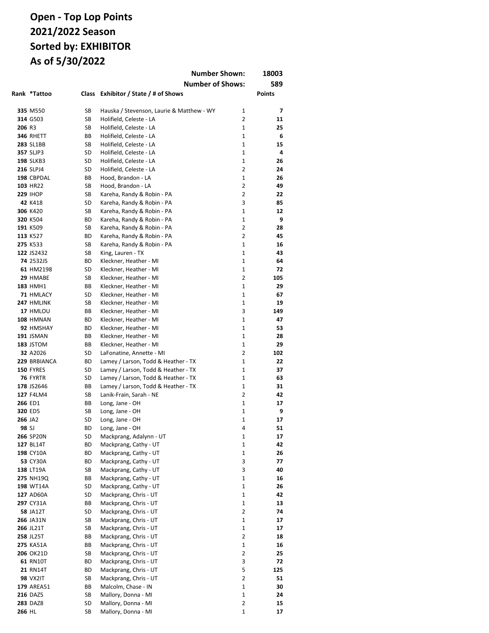|         |                               |          | <b>Number Shown:</b>                               |                   | 18003         |
|---------|-------------------------------|----------|----------------------------------------------------|-------------------|---------------|
|         |                               |          | <b>Number of Shows:</b>                            |                   | 589           |
|         | Rank *Tattoo                  |          | Class Exhibitor / State / # of Shows               |                   | <b>Points</b> |
|         |                               |          |                                                    |                   |               |
|         | 335 M550                      | SB       | Hauska / Stevenson, Laurie & Matthew - WY          | $\mathbf{1}$      | 7             |
|         | 314 G503                      | SB       | Holifield, Celeste - LA                            | 2<br>$\mathbf{1}$ | 11<br>25      |
| 206 R3  |                               | SB       | Holifield, Celeste - LA                            | $\mathbf{1}$      |               |
|         | <b>346 RHETT</b><br>283 SL1BB | BВ<br>SB | Holifield, Celeste - LA<br>Holifield, Celeste - LA | $\mathbf{1}$      | 6<br>15       |
|         | <b>357 SLJP3</b>              | SD       | Holifield, Celeste - LA                            | $\mathbf{1}$      | 4             |
|         | <b>198 SLKB3</b>              | SD       | Holifield, Celeste - LA                            | $\mathbf{1}$      | 26            |
|         | 216 SLPJ4                     | SD       | Holifield, Celeste - LA                            | $\overline{2}$    | 24            |
|         | 198 CBPDAL                    | BВ       | Hood, Brandon - LA                                 | $\mathbf{1}$      | 26            |
|         | 103 HR22                      | SB       | Hood, Brandon - LA                                 | $\overline{2}$    | 49            |
|         | <b>229 IHOP</b>               | SB       | Kareha, Randy & Robin - PA                         | 2                 | 22            |
|         | 42 K418                       | SD       | Kareha, Randy & Robin - PA                         | 3                 | 85            |
|         | 306 K420                      | SB       | Kareha, Randy & Robin - PA                         | 1                 | 12            |
|         | 320 K504                      | ВD       | Kareha, Randy & Robin - PA                         | $\mathbf{1}$      | 9             |
|         | 191 K509                      | SB       | Kareha, Randy & Robin - PA                         | 2                 | 28            |
|         | 113 K527                      | ВD       | Kareha, Randy & Robin - PA                         | $\overline{2}$    | 45            |
|         | 275 K533                      | SB       | Kareha, Randy & Robin - PA                         | $\mathbf{1}$      | 16            |
|         | 122 JS2432                    | SB       | King, Lauren - TX                                  | $\mathbf{1}$      | 43            |
|         | 74 2532JS                     | ВD       | Kleckner, Heather - MI                             | $\mathbf{1}$      | 64            |
|         | 61 HM2198                     | SD       | Kleckner, Heather - MI                             | $\mathbf 1$       | 72            |
|         | 29 HMABE                      | SB       | Kleckner, Heather - MI                             | 2                 | 105           |
|         | <b>183 HMH1</b>               | ВB       | Kleckner, Heather - MI                             | 1                 | 29            |
|         | 71 HMLACY                     | SD       | Kleckner, Heather - MI                             | 1                 | 67            |
|         | 247 HMLINK                    | SB       | Kleckner, Heather - MI                             | $\mathbf 1$       | 19            |
|         | 17 HMLOU                      | ВB       | Kleckner, Heather - MI                             | 3                 | 149           |
|         | 108 HMNAN                     | ВD       | Kleckner, Heather - MI                             | $\mathbf{1}$      | 47            |
|         | 92 HMSHAY                     | ВD       | Kleckner, Heather - MI                             | 1                 | 53            |
|         | <b>191 JSMAN</b>              | ВB       | Kleckner, Heather - MI                             | $\mathbf{1}$      | 28            |
|         | 183 JSTOM                     | ВB       | Kleckner, Heather - MI                             | 1                 | 29            |
|         | 32 A2026                      | SD       | LaFonatine, Annette - MI                           | 2                 | 102           |
|         | 229 BRBIANCA                  | ВD       | Lamey / Larson, Todd & Heather - TX                | $\mathbf{1}$      | 22            |
|         | 150 FYRES                     | SD       | Lamey / Larson, Todd & Heather - TX                | $\mathbf{1}$      | 37            |
|         | 76 FYRTR                      | SD       | Lamey / Larson, Todd & Heather - TX                | $\mathbf{1}$      | 63            |
|         | 178 JS2646                    | ВB       | Lamey / Larson, Todd & Heather - TX                | $\mathbf{1}$      | 31            |
|         | 127 F4LM4                     | SB       | Lanik-Frain, Sarah - NE                            | $\overline{2}$    | 42            |
|         | 266 ED1                       | ВB       | Long, Jane - OH                                    | $\mathbf{1}$      | 17            |
|         | 320 ED5                       | SB       | Long, Jane - OH                                    | 1                 | 9             |
| 266 JA2 |                               | SD       | Long, Jane - OH                                    | 1                 | 17            |
| 98 SJ   | <b>266 SP20N</b>              | ВD       | Long, Jane - OH<br>Mackprang, Adalynn - UT         | 4<br>1            | 51            |
|         | 127 BL14T                     | SD<br>ВD | Mackprang, Cathy - UT                              | 1                 | 17<br>42      |
|         | 198 CY10A                     | ВD       | Mackprang, Cathy - UT                              | 1                 | 26            |
|         | <b>53 CY30A</b>               | ВD       | Mackprang, Cathy - UT                              | 3                 | 77            |
|         | 138 LT19A                     | SB       | Mackprang, Cathy - UT                              | 3                 | 40            |
|         | 275 NH19Q                     | ВB       | Mackprang, Cathy - UT                              | 1                 | 16            |
|         | 198 WT14A                     | SD       | Mackprang, Cathy - UT                              | 1                 | 26            |
|         | 127 AD60A                     | SD       | Mackprang, Chris - UT                              | $\mathbf 1$       | 42            |
|         | 297 CY31A                     | ВB       | Mackprang, Chris - UT                              | $\mathbf 1$       | 13            |
|         | <b>58 JA12T</b>               | SD       | Mackprang, Chris - UT                              | $\overline{2}$    | 74            |
|         | 266 JA31N                     | SB       | Mackprang, Chris - UT                              | 1                 | 17            |
|         | <b>266 JL21T</b>              | SB       | Mackprang, Chris - UT                              | $\mathbf 1$       | 17            |
|         | 258 JL25T                     | ВB       | Mackprang, Chris - UT                              | $\overline{2}$    | 18            |
|         | 275 KA51A                     | ВB       | Mackprang, Chris - UT                              | 1                 | 16            |
|         | <b>206 OK21D</b>              | SB       | Mackprang, Chris - UT                              | $\overline{2}$    | 25            |
|         | <b>61 RN10T</b>               | ВD       | Mackprang, Chris - UT                              | 3                 | 72            |
|         | <b>21 RN14T</b>               | ВD       | Mackprang, Chris - UT                              | 5                 | 125           |
|         | <b>98 VX2IT</b>               | SB       | Mackprang, Chris - UT                              | $\overline{2}$    | 51            |
|         | <b>179 AREA51</b>             | ВB       | Malcolm, Chase - IN                                | 1                 | 30            |
|         | <b>216 DAZ5</b>               | SB       | Mallory, Donna - MI                                | $\mathbf 1$       | 24            |
|         | <b>283 DAZ8</b>               | SD       | Mallory, Donna - MI                                | $\overline{2}$    | 15            |
| 266 HL  |                               | SB       | Mallory, Donna - MI                                | 1                 | 17            |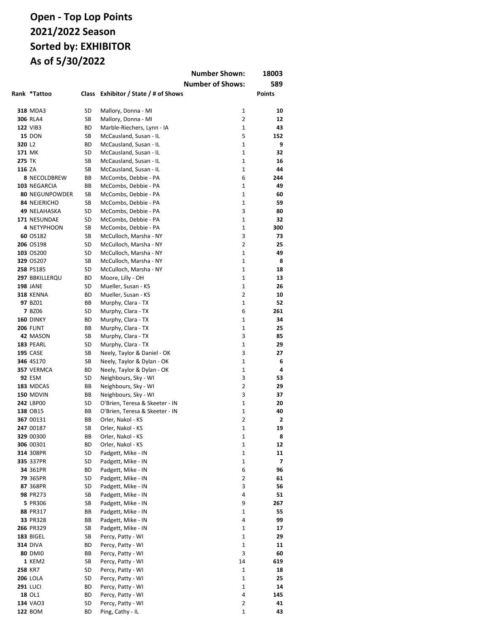|               |                               |          |                                        | <b>Number Shown:</b>    | 18003         |
|---------------|-------------------------------|----------|----------------------------------------|-------------------------|---------------|
|               |                               |          |                                        | <b>Number of Shows:</b> | 589           |
|               | Rank *Tattoo                  | Class    | Exhibitor / State / # of Shows         |                         | <b>Points</b> |
|               |                               |          |                                        |                         |               |
|               | <b>318 MDA3</b>               | SD       | Mallory, Donna - MI                    | 1                       | 10            |
|               | <b>306 RLA4</b>               | SB       | Mallory, Donna - MI                    | 2                       | 12            |
|               | <b>122 VIB3</b>               | ВD       | Marble-Riechers, Lynn - IA             | $\mathbf{1}$            | 43            |
|               | <b>15 DON</b>                 | SB       | McCausland, Susan - IL                 | 5                       | 152           |
| 320 L2        |                               | ВD       | McCausland, Susan - IL                 | $\mathbf{1}$            | 9             |
| 171 MK        |                               | SD       | McCausland, Susan - IL                 | 1                       | 32            |
| <b>275 TK</b> |                               | SB       | McCausland, Susan - IL                 | $\mathbf{1}$            | 16            |
| 116 ZA        |                               | SB       | McCausland, Susan - IL                 | $\mathbf{1}$            | 44            |
|               | <b>8 NECOLDBREW</b>           | ВB       | McCombs, Debbie - PA                   | 6                       | 244           |
|               | 103 NEGARCIA                  | ВB       | McCombs, Debbie - PA                   | $\mathbf{1}$            | 49            |
|               | <b>80 NEGUNPOWDER</b>         | SB       | McCombs, Debbie - PA                   | $\mathbf{1}$            | 60            |
|               | 84 NEJERICHO                  | SB       | McCombs, Debbie - PA                   | $\mathbf{1}$            | 59            |
|               | 49 NELAHASKA                  | SD       | McCombs, Debbie - PA                   | 3                       | 80            |
|               | 171 NESUNDAE                  | SD       | McCombs, Debbie - PA                   | 1                       | 32            |
|               | 4 NETYPHOON                   | SB       | McCombs, Debbie - PA                   | $\mathbf{1}$            | 300           |
|               | 60 OS182                      | SB       | McCulloch, Marsha - NY                 | 3                       | 73            |
|               | 206 OS198                     | SD       | McCulloch, Marsha - NY                 | $\overline{2}$          | 25            |
|               | 103 OS200                     | SD       | McCulloch, Marsha - NY                 | $\mathbf{1}$            | 49            |
|               | 329 OS207                     | SB       | McCulloch, Marsha - NY                 | $\mathbf{1}$            | 8             |
|               | 258 PS185                     | SD       | McCulloch, Marsha - NY                 | 1                       | 18            |
|               | 297 BBKILLERQU                | ВD       | Moore, Lilly - OH                      | 1                       | 13            |
|               | <b>198 JANE</b>               | SD       | Mueller, Susan - KS                    | 1                       | 26            |
|               | <b>318 KENNA</b>              | ВD       | Mueller, Susan - KS                    | 2                       | 10            |
|               | 97 BZ01                       | ВB       | Murphy, Clara - TX                     | 1                       | 52            |
|               | <b>7 BZ06</b>                 | SD       | Murphy, Clara - TX                     | 6                       | 261           |
|               | <b>160 DINKY</b>              | ВD       | Murphy, Clara - TX                     | $\mathbf{1}$            | 34            |
|               | <b>206 FLINT</b>              | BВ       | Murphy, Clara - TX                     | $\mathbf{1}$            | 25            |
|               | 42 MASON                      | SB       | Murphy, Clara - TX                     | 3                       | 85            |
|               | 183 PEARL                     | SD       | Murphy, Clara - TX                     | 1                       | 29            |
|               | <b>195 CASE</b>               | SB       | Neely, Taylor & Daniel - OK            | 3                       | 27            |
|               | 346 4S170                     | SB       | Neely, Taylor & Dylan - OK             | 1                       | 6             |
|               | 357 VERMCA                    | ВD       | Neely, Taylor & Dylan - OK             | $\mathbf{1}$            | 4             |
|               | <b>92 ESM</b>                 | SD       | Neighbours, Sky - WI                   | 3                       | 53            |
|               | 183 MDCAS                     | ВB       | Neighbours, Sky - WI                   | $\overline{2}$<br>3     | 29            |
|               | <b>150 MDVIN</b><br>242 LBP00 | ВB       | Neighbours, Sky - WI                   | $\mathbf{1}$            | 37            |
|               |                               | SD       | O'Brien, Teresa & Skeeter - IN         | $\mathbf{1}$            | 20            |
|               | 138 OB15                      | BВ       | O'Brien, Teresa & Skeeter - IN         | $\overline{2}$          | 40<br>2       |
|               | 367 00131                     | BВ       | Orler, Nakol - KS                      |                         |               |
|               | 247 00187<br>329 00300        | SB<br>BВ | Orler, Nakol - KS<br>Orler, Nakol - KS | 1<br>1                  | 19<br>8       |
|               | 306 00301                     | ВD       | Orler, Nakol - KS                      | 1                       | 12            |
|               | 314 308PR                     | SD       | Padgett, Mike - IN                     | 1                       | 11            |
|               | 335 337PR                     | SD       | Padgett, Mike - IN                     | 1                       | 7             |
|               | 34 361PR                      | ВD       | Padgett, Mike - IN                     | 6                       | 96            |
|               | 79 365PR                      | SD       | Padgett, Mike - IN                     | 2                       | 61            |
|               | 87 368PR                      | SD       | Padgett, Mike - IN                     | 3                       | 56            |
|               | 98 PR273                      | SB       | Padgett, Mike - IN                     | 4                       | 51            |
|               | 5 PR306                       | SB       | Padgett, Mike - IN                     | 9                       | 267           |
|               | 88 PR317                      | BВ       | Padgett, Mike - IN                     | 1                       | 55            |
|               | 33 PR328                      | ВB       | Padgett, Mike - IN                     | 4                       | 99            |
|               | 266 PR329                     | SB       | Padgett, Mike - IN                     | 1                       | 17            |
|               | <b>183 BIGEL</b>              | SB       | Percy, Patty - WI                      | 1                       | 29            |
|               | <b>314 DIVA</b>               | ВD       | Percy, Patty - WI                      | 1                       | 11            |
|               | <b>80 DMI0</b>                | ВB       | Percy, Patty - WI                      | 3                       | 60            |
|               | 1 KEM2                        | SB       | Percy, Patty - WI                      | 14                      | 619           |
|               | 258 KR7                       | SD       | Percy, Patty - WI                      | 1                       | 18            |
|               | <b>206 LOLA</b>               | SD       | Percy, Patty - WI                      | 1                       | 25            |
|               | <b>291 LUCI</b>               | ВD       | Percy, Patty - WI                      | 1                       | 14            |
|               | 18 OL1                        | ВD       | Percy, Patty - WI                      | 4                       | 145           |
|               | 134 VAO3                      | SD       | Percy, Patty - WI                      | 2                       | 41            |
|               | 122 BOM                       | ВD       | Ping, Cathy - IL                       | 1                       | 43            |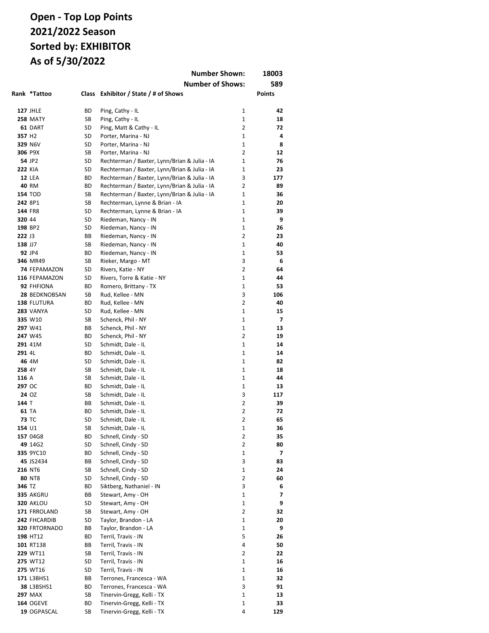|                    | <b>Number Shown:</b><br>18003 |          |                                                                                              |                     |           |
|--------------------|-------------------------------|----------|----------------------------------------------------------------------------------------------|---------------------|-----------|
|                    |                               |          | <b>Number of Shows:</b>                                                                      |                     | 589       |
|                    | Rank *Tattoo                  | Class    | Exhibitor / State / # of Shows                                                               |                     | Points    |
|                    |                               |          |                                                                                              |                     |           |
|                    | <b>127 JHLE</b>               | ВD       | Ping, Cathy - IL                                                                             | 1                   | 42        |
|                    | <b>258 MATY</b>               | SB       | Ping, Cathy - IL                                                                             | $\mathbf{1}$        | 18        |
|                    | 61 DART                       | SD       | Ping, Matt & Cathy - IL                                                                      | $\overline{2}$      | 72        |
| 357 H <sub>2</sub> |                               | SD       | Porter, Marina - NJ                                                                          | $\mathbf{1}$        | 4         |
|                    | 329 N6V                       | SD       | Porter, Marina - NJ                                                                          | $\mathbf{1}$        | 8         |
|                    | 306 P9X                       | SB       | Porter, Marina - NJ                                                                          | $\overline{2}$      | 12        |
|                    | 54 JP2                        | SD       | Rechterman / Baxter, Lynn/Brian & Julia - IA                                                 | $\mathbf{1}$        | 76        |
| <b>222 KIA</b>     |                               | SD       | Rechterman / Baxter, Lynn/Brian & Julia - IA                                                 | $\mathbf{1}$        | 23        |
|                    | <b>12 LEA</b><br>40 RM        | ВD<br>ВD | Rechterman / Baxter, Lynn/Brian & Julia - IA                                                 | 3<br>$\overline{2}$ | 177<br>89 |
|                    | <b>154 TOD</b>                | SB       | Rechterman / Baxter, Lynn/Brian & Julia - IA<br>Rechterman / Baxter, Lynn/Brian & Julia - IA | 1                   | 36        |
|                    | 242 8P1                       | SB       | Rechterman, Lynne & Brian - IA                                                               | $\mathbf{1}$        | 20        |
|                    | 144 FR8                       | SD       | Rechterman, Lynne & Brian - IA                                                               | $\mathbf{1}$        | 39        |
| 320 44             |                               | SD       | Riedeman, Nancy - IN                                                                         | $\mathbf{1}$        | 9         |
|                    | 198 BP2                       | SD       | Riedeman, Nancy - IN                                                                         | 1                   | 26        |
| 222 J3             |                               | ВB       | Riedeman, Nancy - IN                                                                         | $\overline{2}$      | 23        |
| 138 JJ7            |                               | SB       | Riedeman, Nancy - IN                                                                         | $\mathbf{1}$        | 40        |
|                    | 92 JP4                        | ВD       | Riedeman, Nancy - IN                                                                         | 1                   | 53        |
|                    | 346 MR49                      | SB       | Rieker, Margo - MT                                                                           | 3                   | 6         |
|                    | 74 FEPAMAZON                  | SD       | Rivers, Katie - NY                                                                           | $\overline{2}$      | 64        |
|                    | 116 FEPAMAZON                 | SD       | Rivers, Torre & Katie - NY                                                                   | 1                   | 44        |
|                    | 92 FHFIONA                    | ВD       | Romero, Brittany - TX                                                                        | 1                   | 53        |
|                    | 28 BEDKNOBSAN                 | SB       | Rud, Kellee - MN                                                                             | 3                   | 106       |
|                    | 138 FLUTURA                   | ВD       | Rud, Kellee - MN                                                                             | $\overline{2}$      | 40        |
|                    | <b>283 VANYA</b>              | SD       | Rud, Kellee - MN                                                                             | 1                   | 15        |
|                    | 335 W10                       | SB       | Schenck, Phil - NY                                                                           | 1<br>1              | 7         |
|                    | 297 W41<br>247 W45            | ВB<br>ВD | Schenck, Phil - NY<br>Schenck, Phil - NY                                                     | $\overline{2}$      | 13<br>19  |
|                    | 291 41M                       | SD       | Schmidt, Dale - IL                                                                           | 1                   | 14        |
| 291 4L             |                               | ВD       | Schmidt, Dale - IL                                                                           | 1                   | 14        |
|                    | 46 4M                         | SD       | Schmidt, Dale - IL                                                                           | $\mathbf{1}$        | 82        |
| 258 4Y             |                               | SB       | Schmidt, Dale - IL                                                                           | $\mathbf{1}$        | 18        |
| 116 A              |                               | SB       | Schmidt, Dale - IL                                                                           | 1                   | 44        |
| 297 OC             |                               | ВD       | Schmidt, Dale - IL                                                                           | 1                   | 13        |
|                    | 24 OZ                         | SB       | Schmidt, Dale - IL                                                                           | 3                   | 117       |
| 144 T              |                               | ВB       | Schmidt, Dale - IL                                                                           | $\overline{2}$      | 39        |
|                    | <b>61 TA</b>                  | ВD       | Schmidt, Dale - IL                                                                           | $\overline{2}$      | 72        |
| <b>73 TC</b>       |                               | SD       | Schmidt, Dale - IL                                                                           | $\overline{2}$      | 65        |
| 154 U1             |                               | SB       | Schmidt, Dale - IL                                                                           | 1                   | 36        |
|                    | 157 04G8                      | ВD       | Schnell, Cindy - SD                                                                          | 2                   | 35        |
|                    | 49 14G2                       | SD       | Schnell, Cindy - SD                                                                          | 2                   | 80        |
|                    | 335 9YC10                     | ВD       | Schnell, Cindy - SD                                                                          | 1                   | 7         |
|                    | 45 JS2434                     | ВB       | Schnell, Cindy - SD                                                                          | 3                   | 83        |
|                    | 216 NT6<br>80 NT8             | SB<br>SD | Schnell, Cindy - SD<br>Schnell, Cindy - SD                                                   | $\mathbf 1$<br>2    | 24<br>60  |
| 346 TZ             |                               | ВD       | Siktberg, Nathaniel - IN                                                                     | 3                   | 6         |
|                    | 335 AKGRU                     | ВB       | Stewart, Amy - OH                                                                            | $\mathbf 1$         | 7         |
|                    | <b>320 AKLOU</b>              | SD       | Stewart, Amy - OH                                                                            | 1                   | 9         |
|                    | 171 FRROLAND                  | SB       | Stewart, Amy - OH                                                                            | $\overline{2}$      | 32        |
|                    | 242 FHCARDIB                  | SD       | Taylor, Brandon - LA                                                                         | 1                   | 20        |
|                    | 320 FRTORNADO                 | ВB       | Taylor, Brandon - LA                                                                         | $\mathbf 1$         | 9         |
|                    | 198 HT12                      | ВD       | Terril, Travis - IN                                                                          | 5                   | 26        |
|                    | 101 RT138                     | ВB       | Terril, Travis - IN                                                                          | 4                   | 50        |
|                    | 229 WT11                      | SB       | Terril, Travis - IN                                                                          | 2                   | 22        |
|                    | 275 WT12                      | SD       | Terril, Travis - IN                                                                          | 1                   | 16        |
|                    | 275 WT16                      | SD       | Terril, Travis - IN                                                                          | 1                   | 16        |
|                    | 171 L3BHS1                    | ВB       | Terrones, Francesca - WA                                                                     | 1                   | 32        |
|                    | 38 L3BSHS1                    | ВD       | Terrones, Francesca - WA                                                                     | 3                   | 91        |
|                    | <b>297 MAX</b>                | SB       | Tinervin-Gregg, Kelli - TX                                                                   | $\mathbf{1}$        | 13        |
|                    | <b>164 OGEVE</b>              | ВD       | Tinervin-Gregg, Kelli - TX                                                                   | 1                   | 33        |
|                    | 19 OGPASCAL                   | SB       | Tinervin-Gregg, Kelli - TX                                                                   | 4                   | 129       |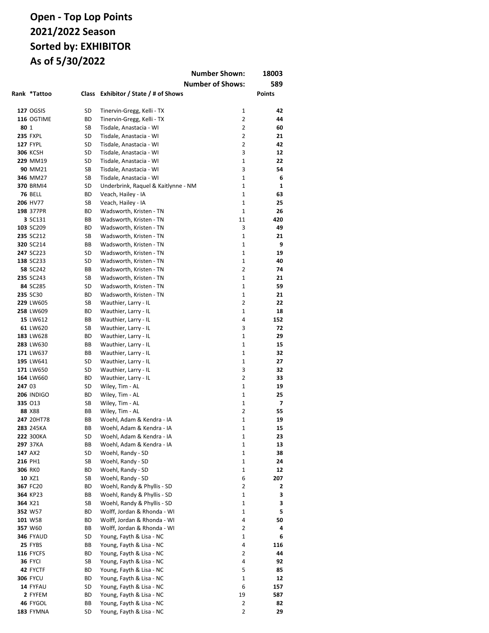|        |                             |          |                                                         | <b>Number Shown:</b>    | 18003    |
|--------|-----------------------------|----------|---------------------------------------------------------|-------------------------|----------|
|        |                             |          |                                                         | <b>Number of Shows:</b> | 589      |
|        | Rank *Tattoo                | Class    | Exhibitor / State / # of Shows                          |                         | Points   |
|        |                             |          |                                                         |                         |          |
|        | <b>127 OGSIS</b>            | SD       | Tinervin-Gregg, Kelli - TX                              | 1                       | 42       |
|        | 116 OGTIME                  | ВD       | Tinervin-Gregg, Kelli - TX                              | $\overline{2}$          | 44       |
| 80 1   |                             | SB       | Tisdale, Anastacia - WI                                 | $\overline{2}$          | 60       |
|        | <b>235 FXPL</b>             | SD       | Tisdale, Anastacia - WI                                 | $\overline{2}$          | 21       |
|        | <b>127 FYPL</b>             | SD       | Tisdale, Anastacia - WI                                 | $\overline{2}$          | 42       |
|        | <b>306 KCSH</b>             | SD       | Tisdale, Anastacia - WI                                 | 3                       | 12       |
|        | 229 MM19                    | SD       | Tisdale, Anastacia - WI                                 | 1                       | 22       |
|        | 90 MM21                     | SB       | Tisdale, Anastacia - WI                                 | 3                       | 54       |
|        | 346 MM27                    | SB       | Tisdale, Anastacia - WI                                 | $\mathbf{1}$            | 6        |
|        | <b>370 BRMI4</b>            | SD       | Underbrink, Raquel & Kaitlynne - NM                     | $\mathbf{1}$            | 1        |
|        | <b>76 BELL</b>              | ВD       | Veach, Hailey - IA                                      | $\mathbf{1}$            | 63       |
|        | 206 HV77                    | SB       | Veach, Hailey - IA                                      | $\mathbf{1}$            | 25       |
|        | 198 377PR                   | ВD       | Wadsworth, Kristen - TN                                 | $\mathbf{1}$            | 26       |
|        | 3 SC131                     | BВ       | Wadsworth, Kristen - TN                                 | 11                      | 420      |
|        | 103 SC209<br>235 SC212      | ВD<br>SB | Wadsworth, Kristen - TN                                 | 3<br>$\mathbf{1}$       | 49<br>21 |
|        | 320 SC214                   | BВ       | Wadsworth, Kristen - TN<br>Wadsworth, Kristen - TN      | $\mathbf{1}$            | 9        |
|        | 247 SC223                   | SD       | Wadsworth, Kristen - TN                                 | $\mathbf{1}$            | 19       |
|        | 138 SC233                   | SD       | Wadsworth, Kristen - TN                                 | 1                       | 40       |
|        | 58 SC242                    | ВB       | Wadsworth, Kristen - TN                                 | $\overline{2}$          | 74       |
|        | 235 SC243                   | SB       | Wadsworth, Kristen - TN                                 | 1                       | 21       |
|        | 84 SC285                    | SD       | Wadsworth, Kristen - TN                                 | 1                       | 59       |
|        | 235 SC30                    | ВD       | Wadsworth, Kristen - TN                                 | 1                       | 21       |
|        | 229 LW605                   | SB       | Wauthier, Larry - IL                                    | $\overline{2}$          | 22       |
|        | 258 LW609                   | ВD       | Wauthier, Larry - IL                                    | 1                       | 18       |
|        | 15 LW612                    | BВ       | Wauthier, Larry - IL                                    | 4                       | 152      |
|        | 61 LW620                    | SB       | Wauthier, Larry - IL                                    | 3                       | 72       |
|        | 183 LW628                   | ВD       | Wauthier, Larry - IL                                    | $\mathbf{1}$            | 29       |
|        | 283 LW630                   | BВ       | Wauthier, Larry - IL                                    | $\mathbf{1}$            | 15       |
|        | 171 LW637                   | BВ       | Wauthier, Larry - IL                                    | 1                       | 32       |
|        | 195 LW641                   | SD       | Wauthier, Larry - IL                                    | $\mathbf{1}$            | 27       |
|        | 171 LW650                   | SD       | Wauthier, Larry - IL                                    | 3                       | 32       |
|        | 164 LW660                   | ВD       | Wauthier, Larry - IL                                    | $\overline{2}$          | 33       |
| 247 03 |                             | SD       | Wiley, Tim - AL                                         | $\mathbf{1}$            | 19       |
|        | <b>206 INDIGO</b>           | ВD       | Wiley, Tim - AL                                         | $\mathbf{1}$            | 25       |
|        | 335 013                     | SB       | Wiley, Tim - AL                                         | $\mathbf{1}$            | 7        |
|        | 88 X88                      | BВ       | Wiley, Tim - AL                                         | $\overline{2}$          | 55       |
|        | 247 20HT78                  | ВB       | Woehl, Adam & Kendra - IA                               | 1                       | 19       |
|        | 283 245KA                   | ВB       | Woehl, Adam & Kendra - IA                               | 1                       | 15       |
|        | 222 300KA                   | SD       | Woehl, Adam & Kendra - IA                               | 1                       | 23       |
|        | 297 37KA                    | ВB       | Woehl, Adam & Kendra - IA                               | 1                       | 13       |
|        | 147 AX2                     | SD       | Woehl, Randy - SD                                       | 1                       | 38       |
|        | 216 PH1                     | SB       | Woehl, Randy - SD                                       | 1                       | 24       |
|        | 306 RKO                     | ВD       | Woehl, Randy - SD                                       | 1                       | 12       |
|        | 10 XZ1                      | SB       | Woehl, Randy - SD                                       | 6                       | 207      |
|        | 367 FC20                    | ВD       | Woehl, Randy & Phyllis - SD                             | 2                       | 2        |
|        | 364 KP23                    | ВB       | Woehl, Randy & Phyllis - SD                             | 1                       | з        |
|        | 364 X21                     | SB       | Woehl, Randy & Phyllis - SD                             | 1                       | 3        |
|        | 352 W57                     | ВD       | Wolff, Jordan & Rhonda - WI                             | 1                       | 5        |
|        | 101 W58                     | ВD       | Wolff, Jordan & Rhonda - WI                             | 4<br>$\overline{2}$     | 50       |
|        | 357 W60<br><b>346 FYAUD</b> | ВB<br>SD | Wolff, Jordan & Rhonda - WI<br>Young, Fayth & Lisa - NC | 1                       | 4<br>6   |
|        | 25 FYBS                     | ВB       | Young, Fayth & Lisa - NC                                | 4                       | 116      |
|        | <b>116 FYCFS</b>            | ВD       | Young, Fayth & Lisa - NC                                | 2                       | 44       |
|        | <b>36 FYCI</b>              | SB       | Young, Fayth & Lisa - NC                                | 4                       | 92       |
|        | 42 FYCTF                    | ВD       | Young, Fayth & Lisa - NC                                | 5                       | 85       |
|        | <b>306 FYCU</b>             | ВD       | Young, Fayth & Lisa - NC                                | 1                       | 12       |
|        | 14 FYFAU                    | SD       | Young, Fayth & Lisa - NC                                | 6                       | 157      |
|        | 2 FYFEM                     | ВD       | Young, Fayth & Lisa - NC                                | 19                      | 587      |
|        | 46 FYGOL                    | ВB       | Young, Fayth & Lisa - NC                                | $\overline{2}$          | 82       |
|        | 183 FYMNA                   | SD       | Young, Fayth & Lisa - NC                                | $\overline{2}$          | 29       |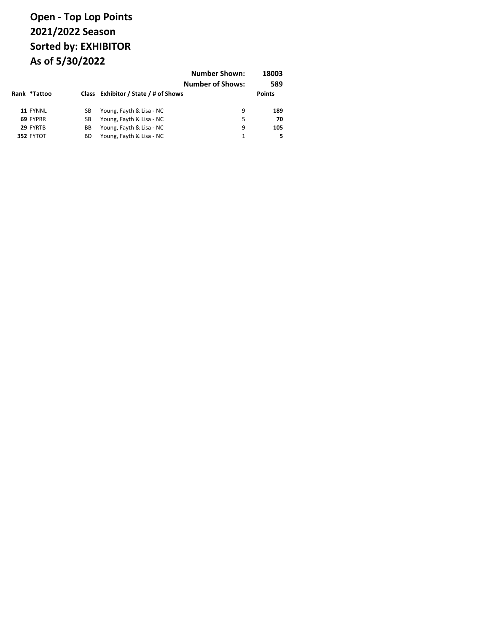|              |    |                                      | <b>Number Shown:</b><br><b>Number of Shows:</b> | 18003<br>589  |
|--------------|----|--------------------------------------|-------------------------------------------------|---------------|
| Rank *Tattoo |    | Class Exhibitor / State / # of Shows |                                                 | <b>Points</b> |
| 11 FYNNL     | SВ | Young, Fayth & Lisa - NC             | 9                                               | 189           |
| 69 FYPRR     | SВ | Young, Fayth & Lisa - NC             | 5                                               | 70            |
| 29 FYRTB     | BВ | Young, Fayth & Lisa - NC             | 9                                               | 105           |
| 352 FYTOT    | ВD | Young, Fayth & Lisa - NC             |                                                 | 5             |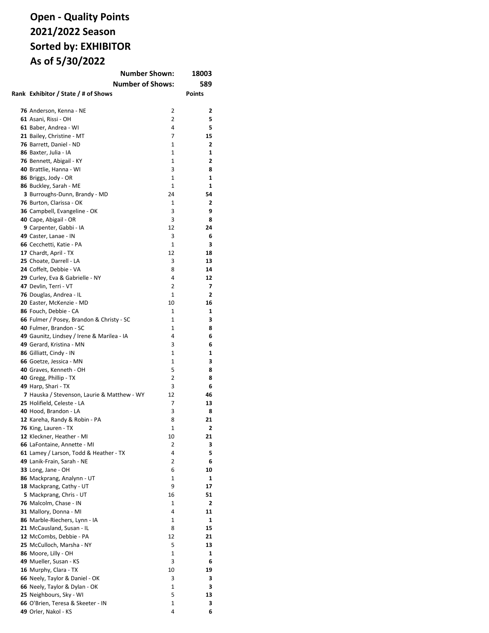## **Open - Quality Points 2021/2022 Season Sorted by: EXHIBITOR As of 5/30/2022**

| <b>Number Shown:</b>                        |              | 18003          |
|---------------------------------------------|--------------|----------------|
| <b>Number of Shows:</b>                     |              | 589            |
| Rank Exhibitor / State / # of Shows         |              | <b>Points</b>  |
|                                             |              |                |
| 76 Anderson, Kenna - NE                     | 2            | 2              |
| 61 Asani, Rissi - OH                        | 2            | 5              |
| 61 Baber, Andrea - WI                       | 4            | 5              |
| 21 Bailey, Christine - MT                   | 7            | 15             |
| 76 Barrett, Daniel - ND                     | 1            | 2              |
| 86 Baxter, Julia - IA                       | 1            | 1              |
| 76 Bennett, Abigail - KY                    | 1            | 2              |
| 40 Brattlie, Hanna - WI                     | 3            | 8              |
| 86 Briggs, Jody - OR                        | 1            | 1              |
| 86 Buckley, Sarah - ME                      | 1            | 1              |
| 3 Burroughs-Dunn, Brandy - MD               | 24           | 54             |
| 76 Burton, Clarissa - OK                    | 1            | 2              |
| 36 Campbell, Evangeline - OK                | 3            | 9              |
| 40 Cape, Abigail - OR                       | 3            | 8              |
| 9 Carpenter, Gabbi - IA                     | 12           | 24             |
| 49 Caster, Lanae - IN                       | 3            | 6              |
| 66 Cecchetti, Katie - PA                    | 1            | 3              |
| 17 Chardt, April - TX                       | 12           | 18             |
| 25 Choate, Darrell - LA                     | 3            | 13             |
| 24 Coffelt, Debbie - VA                     | 8            | 14             |
| 29 Curley, Eva & Gabrielle - NY             | 4            | 12             |
| 47 Devlin, Terri - VT                       | 2            | 7              |
| 76 Douglas, Andrea - IL                     | $\mathbf{1}$ | 2              |
| 20 Easter, McKenzie - MD                    | 10           | 16             |
| 86 Fouch, Debbie - CA                       | 1            | 1              |
| 66 Fulmer / Posey, Brandon & Christy - SC   | 1            | З              |
| 40 Fulmer, Brandon - SC                     | 1            | 8              |
| 49 Gaunitz, Lindsey / Irene & Marilea - IA  | 4            | 6              |
| 49 Gerard, Kristina - MN                    | 3            | 6              |
| 86 Gilliatt, Cindy - IN                     | 1            | 1              |
| 66 Goetze, Jessica - MN                     | 1            | 3              |
| 40 Graves, Kenneth - OH                     | 5            | 8              |
| 40 Gregg, Phillip - TX                      | 2            | 8              |
| 49 Harp, Shari - TX                         | 3            | 6              |
| 7 Hauska / Stevenson, Laurie & Matthew - WY | 12           | 46             |
| 25 Holifield, Celeste - LA                  | 7            | 13             |
| 40 Hood, Brandon - LA                       | 3            | 8              |
| 12 Kareha, Randy & Robin - PA               | 8            | 21             |
| 76 King, Lauren - TX                        | 1            | $\overline{2}$ |
| 12 Kleckner, Heather - MI                   | 10           | 21             |
| 66 LaFontaine, Annette - MI                 | 2            | 3              |
| 61 Lamey / Larson, Todd & Heather - TX      | 4            | 5              |
| 49 Lanik-Frain, Sarah - NE                  | 2            | 6              |
| 33 Long, Jane - OH                          | 6            | 10             |
| 86 Mackprang, Analynn - UT                  | 1            | 1              |
| 18 Mackprang, Cathy - UT                    | 9            | 17             |
| 5 Mackprang, Chris - UT                     | 16           | 51             |
| 76 Malcolm, Chase - IN                      | 1            | 2              |
| 31 Mallory, Donna - MI                      | 4            | 11             |
| 86 Marble-Riechers, Lynn - IA               | 1            | 1              |
| 21 McCausland, Susan - IL                   | 8            | 15             |
| 12 McCombs, Debbie - PA                     | 12           | 21             |
| 25 McCulloch, Marsha - NY                   | 5            | 13             |
| 86 Moore, Lilly - OH                        | 1            | 1              |
| 49 Mueller, Susan - KS                      | 3            | 6              |
| 16 Murphy, Clara - TX                       | 10           | 19             |
| 66 Neely, Taylor & Daniel - OK              | 3            | 3              |
| 66 Neely, Taylor & Dylan - OK               | 1            | 3              |
| 25 Neighbours, Sky - WI                     | 5            | 13             |
| 66 O'Brien, Teresa & Skeeter - IN           | 1            | 3              |
| 49 Orler, Nakol - KS                        | 4            | 6              |